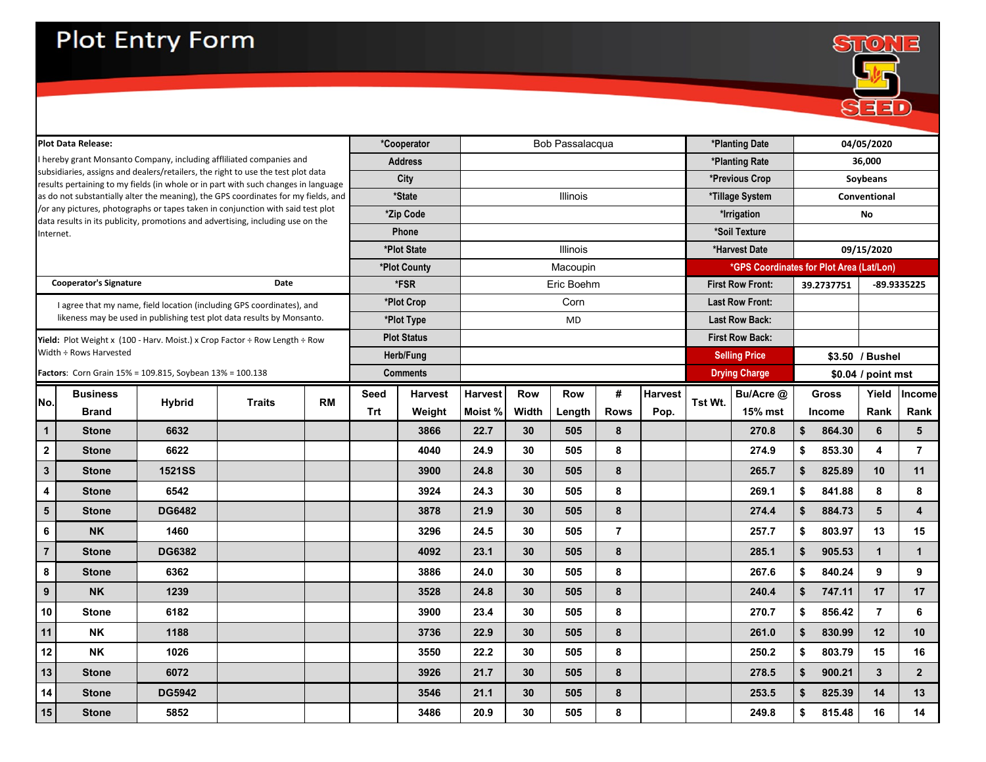

| *Cooperator<br>Bob Passalacqua<br><b>Plot Data Release:</b><br>hereby grant Monsanto Company, including affliliated companies and<br><b>Address</b><br>subsidiaries, assigns and dealers/retailers, the right to use the test plot data<br><b>City</b><br>results pertaining to my fields (in whole or in part with such changes in language<br>*State<br>Illinois<br>as do not substantially alter the meaning), the GPS coordinates for my fields, and<br>/or any pictures, photographs or tapes taken in conjunction with said test plot<br>*Zip Code<br>data results in its publicity, promotions and advertising, including use on the<br><b>Phone</b><br>Internet.<br>*Plot State<br>Illinois<br>*Plot County<br>Macoupin<br><b>Cooperator's Signature</b><br>Date<br>*FSR<br>Eric Boehm<br>*Plot Crop<br>Corn<br>I agree that my name, field location (including GPS coordinates), and<br>likeness may be used in publishing test plot data results by Monsanto.<br>*Plot Type<br><b>MD</b><br><b>Plot Status</b><br><b>Yield:</b> Plot Weight x (100 - Harv. Moist.) x Crop Factor ÷ Row Length ÷ Row<br>Width ÷ Rows Harvested<br>Herb/Fung<br>Factors: Corn Grain 15% = 109.815, Soybean 13% = 100.138<br><b>Comments</b> |                |                      | *Planting Date<br>*Planting Rate<br>*Previous Crop<br>*Tillage System<br>*Irrigation<br>*Soil Texture<br>*Harvest Date<br><i>*GPS Coordinates for Plot Area (Lat/Lon)</i><br><b>First Row Front:</b><br><b>Last Row Front:</b><br><b>Last Row Back:</b> |    |                 | 04/05/2020<br>36,000<br>Soybeans<br>Conventional<br>No<br>09/15/2020 |                 |  |
|-------------------------------------------------------------------------------------------------------------------------------------------------------------------------------------------------------------------------------------------------------------------------------------------------------------------------------------------------------------------------------------------------------------------------------------------------------------------------------------------------------------------------------------------------------------------------------------------------------------------------------------------------------------------------------------------------------------------------------------------------------------------------------------------------------------------------------------------------------------------------------------------------------------------------------------------------------------------------------------------------------------------------------------------------------------------------------------------------------------------------------------------------------------------------------------------------------------------------------------|----------------|----------------------|---------------------------------------------------------------------------------------------------------------------------------------------------------------------------------------------------------------------------------------------------------|----|-----------------|----------------------------------------------------------------------|-----------------|--|
|                                                                                                                                                                                                                                                                                                                                                                                                                                                                                                                                                                                                                                                                                                                                                                                                                                                                                                                                                                                                                                                                                                                                                                                                                                     |                |                      |                                                                                                                                                                                                                                                         |    |                 |                                                                      |                 |  |
|                                                                                                                                                                                                                                                                                                                                                                                                                                                                                                                                                                                                                                                                                                                                                                                                                                                                                                                                                                                                                                                                                                                                                                                                                                     |                |                      |                                                                                                                                                                                                                                                         |    |                 |                                                                      |                 |  |
|                                                                                                                                                                                                                                                                                                                                                                                                                                                                                                                                                                                                                                                                                                                                                                                                                                                                                                                                                                                                                                                                                                                                                                                                                                     |                |                      |                                                                                                                                                                                                                                                         |    |                 |                                                                      |                 |  |
|                                                                                                                                                                                                                                                                                                                                                                                                                                                                                                                                                                                                                                                                                                                                                                                                                                                                                                                                                                                                                                                                                                                                                                                                                                     |                |                      |                                                                                                                                                                                                                                                         |    |                 |                                                                      |                 |  |
|                                                                                                                                                                                                                                                                                                                                                                                                                                                                                                                                                                                                                                                                                                                                                                                                                                                                                                                                                                                                                                                                                                                                                                                                                                     |                |                      |                                                                                                                                                                                                                                                         |    |                 |                                                                      |                 |  |
|                                                                                                                                                                                                                                                                                                                                                                                                                                                                                                                                                                                                                                                                                                                                                                                                                                                                                                                                                                                                                                                                                                                                                                                                                                     |                |                      |                                                                                                                                                                                                                                                         |    |                 |                                                                      |                 |  |
|                                                                                                                                                                                                                                                                                                                                                                                                                                                                                                                                                                                                                                                                                                                                                                                                                                                                                                                                                                                                                                                                                                                                                                                                                                     |                |                      |                                                                                                                                                                                                                                                         |    |                 |                                                                      |                 |  |
|                                                                                                                                                                                                                                                                                                                                                                                                                                                                                                                                                                                                                                                                                                                                                                                                                                                                                                                                                                                                                                                                                                                                                                                                                                     |                |                      |                                                                                                                                                                                                                                                         |    |                 |                                                                      |                 |  |
|                                                                                                                                                                                                                                                                                                                                                                                                                                                                                                                                                                                                                                                                                                                                                                                                                                                                                                                                                                                                                                                                                                                                                                                                                                     |                |                      |                                                                                                                                                                                                                                                         |    | 39.2737751      |                                                                      | -89.9335225     |  |
|                                                                                                                                                                                                                                                                                                                                                                                                                                                                                                                                                                                                                                                                                                                                                                                                                                                                                                                                                                                                                                                                                                                                                                                                                                     |                |                      |                                                                                                                                                                                                                                                         |    |                 |                                                                      |                 |  |
|                                                                                                                                                                                                                                                                                                                                                                                                                                                                                                                                                                                                                                                                                                                                                                                                                                                                                                                                                                                                                                                                                                                                                                                                                                     |                |                      |                                                                                                                                                                                                                                                         |    |                 |                                                                      |                 |  |
|                                                                                                                                                                                                                                                                                                                                                                                                                                                                                                                                                                                                                                                                                                                                                                                                                                                                                                                                                                                                                                                                                                                                                                                                                                     |                |                      | <b>First Row Back:</b>                                                                                                                                                                                                                                  |    |                 |                                                                      |                 |  |
|                                                                                                                                                                                                                                                                                                                                                                                                                                                                                                                                                                                                                                                                                                                                                                                                                                                                                                                                                                                                                                                                                                                                                                                                                                     |                | <b>Selling Price</b> |                                                                                                                                                                                                                                                         |    | \$3.50 / Bushel |                                                                      |                 |  |
|                                                                                                                                                                                                                                                                                                                                                                                                                                                                                                                                                                                                                                                                                                                                                                                                                                                                                                                                                                                                                                                                                                                                                                                                                                     |                |                      |                                                                                                                                                                                                                                                         |    |                 | \$0.04 / point mst                                                   |                 |  |
| <b>Harvest</b><br>#<br><b>Row</b><br><b>Business</b><br><b>Seed</b><br><b>Harvest</b><br><b>Row</b><br><b>RM</b><br>No.<br><b>Hybrid</b><br><b>Traits</b>                                                                                                                                                                                                                                                                                                                                                                                                                                                                                                                                                                                                                                                                                                                                                                                                                                                                                                                                                                                                                                                                           | <b>Harvest</b> | Tst Wt.              | Bu/Acre @                                                                                                                                                                                                                                               |    | <b>Gross</b>    | Yield                                                                | Income          |  |
| Moist %<br><b>Width</b><br>Trt<br><b>Rows</b><br><b>Brand</b><br>Weight<br>Length                                                                                                                                                                                                                                                                                                                                                                                                                                                                                                                                                                                                                                                                                                                                                                                                                                                                                                                                                                                                                                                                                                                                                   | Pop.           |                      | <b>15% mst</b>                                                                                                                                                                                                                                          |    | <b>Income</b>   | Rank                                                                 | Rank            |  |
| 22.7<br>6632<br>3866<br>30<br>505<br>8<br>$\mathbf 1$<br><b>Stone</b>                                                                                                                                                                                                                                                                                                                                                                                                                                                                                                                                                                                                                                                                                                                                                                                                                                                                                                                                                                                                                                                                                                                                                               |                |                      | 270.8                                                                                                                                                                                                                                                   | \$ | 864.30          | 6 <sup>1</sup>                                                       | $5\phantom{.0}$ |  |
| 24.9<br>${\bf 8}$<br>$\mathbf{2}$<br>30<br>505<br>6622<br>4040<br><b>Stone</b>                                                                                                                                                                                                                                                                                                                                                                                                                                                                                                                                                                                                                                                                                                                                                                                                                                                                                                                                                                                                                                                                                                                                                      |                |                      | 274.9                                                                                                                                                                                                                                                   | \$ | 853.30          | 4                                                                    | $\overline{7}$  |  |
| $3\phantom{a}$<br><b>1521SS</b><br>24.8<br>505<br>8<br>3900<br>30 <sub>2</sub><br><b>Stone</b>                                                                                                                                                                                                                                                                                                                                                                                                                                                                                                                                                                                                                                                                                                                                                                                                                                                                                                                                                                                                                                                                                                                                      |                |                      | 265.7                                                                                                                                                                                                                                                   | \$ | 825.89          | 10                                                                   | 11              |  |
| 8<br>4<br>24.3<br>30<br>505<br><b>Stone</b><br>6542<br>3924                                                                                                                                                                                                                                                                                                                                                                                                                                                                                                                                                                                                                                                                                                                                                                                                                                                                                                                                                                                                                                                                                                                                                                         |                |                      | 269.1                                                                                                                                                                                                                                                   | \$ | 841.88          | 8                                                                    | 8               |  |
| 21.9<br>$\boldsymbol{8}$<br><b>DG6482</b><br>3878<br>30 <sub>2</sub><br>505<br>$5\overline{)}$<br><b>Stone</b>                                                                                                                                                                                                                                                                                                                                                                                                                                                                                                                                                                                                                                                                                                                                                                                                                                                                                                                                                                                                                                                                                                                      |                |                      | 274.4                                                                                                                                                                                                                                                   | \$ | 884.73          | 5                                                                    | 4               |  |
| <b>NK</b><br>1460<br>24.5<br>505<br>3296<br>30<br>6                                                                                                                                                                                                                                                                                                                                                                                                                                                                                                                                                                                                                                                                                                                                                                                                                                                                                                                                                                                                                                                                                                                                                                                 |                |                      | 257.7                                                                                                                                                                                                                                                   | \$ | 803.97          | 13                                                                   | 15              |  |
| <b>DG6382</b><br>505<br>8<br>$\overline{7}$<br>4092<br>23.1<br>30 <sub>2</sub><br><b>Stone</b>                                                                                                                                                                                                                                                                                                                                                                                                                                                                                                                                                                                                                                                                                                                                                                                                                                                                                                                                                                                                                                                                                                                                      |                |                      | 285.1                                                                                                                                                                                                                                                   | \$ | 905.53          | 1                                                                    | $\mathbf 1$     |  |
| 8<br>24.0<br>8<br>6362<br>3886<br>30<br>505<br><b>Stone</b>                                                                                                                                                                                                                                                                                                                                                                                                                                                                                                                                                                                                                                                                                                                                                                                                                                                                                                                                                                                                                                                                                                                                                                         |                |                      | 267.6                                                                                                                                                                                                                                                   | \$ | 840.24          | 9                                                                    | 9               |  |
| 8<br>24.8<br>9<br><b>NK</b><br>1239<br>3528<br>30 <sub>2</sub><br>505                                                                                                                                                                                                                                                                                                                                                                                                                                                                                                                                                                                                                                                                                                                                                                                                                                                                                                                                                                                                                                                                                                                                                               |                |                      | 240.4                                                                                                                                                                                                                                                   | \$ | 747.11          | 17                                                                   | 17              |  |
| 8<br>6182<br>23.4<br>30<br>505<br>10<br>3900<br><b>Stone</b>                                                                                                                                                                                                                                                                                                                                                                                                                                                                                                                                                                                                                                                                                                                                                                                                                                                                                                                                                                                                                                                                                                                                                                        |                |                      | 270.7                                                                                                                                                                                                                                                   | \$ | 856.42          | $\overline{7}$                                                       | 6               |  |
| <b>NK</b><br>8<br>11<br>1188<br>22.9<br>505<br>3736<br>30                                                                                                                                                                                                                                                                                                                                                                                                                                                                                                                                                                                                                                                                                                                                                                                                                                                                                                                                                                                                                                                                                                                                                                           |                |                      | 261.0                                                                                                                                                                                                                                                   | \$ | 830.99          | 12                                                                   | 10              |  |
| 8<br>12<br><b>NK</b><br>22.2<br>1026<br>30<br>505<br>3550                                                                                                                                                                                                                                                                                                                                                                                                                                                                                                                                                                                                                                                                                                                                                                                                                                                                                                                                                                                                                                                                                                                                                                           |                |                      | 250.2                                                                                                                                                                                                                                                   | \$ | 803.79          | 15                                                                   | 16              |  |
| 21.7<br>8<br>13<br>6072<br>3926<br>505<br><b>Stone</b><br>30 <sub>o</sub>                                                                                                                                                                                                                                                                                                                                                                                                                                                                                                                                                                                                                                                                                                                                                                                                                                                                                                                                                                                                                                                                                                                                                           |                |                      | 278.5                                                                                                                                                                                                                                                   | \$ | 900.21          | 3 <sup>1</sup>                                                       | 2 <sup>2</sup>  |  |
| 8<br><b>DG5942</b><br>21.1<br>14<br>3546<br>30 <sub>o</sub><br>505<br><b>Stone</b>                                                                                                                                                                                                                                                                                                                                                                                                                                                                                                                                                                                                                                                                                                                                                                                                                                                                                                                                                                                                                                                                                                                                                  |                |                      | 253.5                                                                                                                                                                                                                                                   | \$ | 825.39          | 14                                                                   | 13              |  |
| 8<br>15<br>5852<br>20.9<br>505<br>3486<br>30<br><b>Stone</b>                                                                                                                                                                                                                                                                                                                                                                                                                                                                                                                                                                                                                                                                                                                                                                                                                                                                                                                                                                                                                                                                                                                                                                        |                |                      |                                                                                                                                                                                                                                                         |    |                 |                                                                      |                 |  |